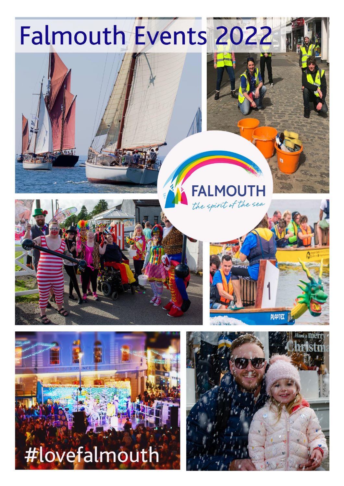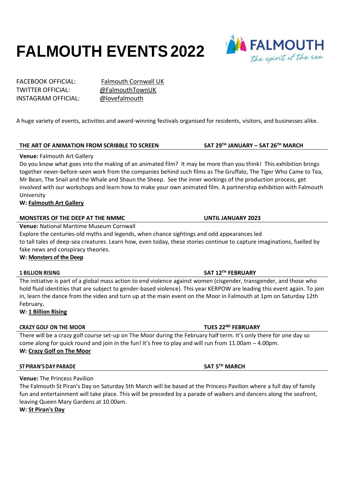# **FALMOUTH EVENTS2022**

TWITTER OFFICIAL: [@FalmouthTownUK](https://twitter.com/FalmouthTownUK) INSTAGRAM OFFICIAL: [@lovefalmouth](https://www.instagram.com/lovefalmouth/)

FACEBOOK OFFICIAL: [Falmouth Cornwall UK](https://www.facebook.com/FalmouthCornwall)

A huge variety of events, activities and award-winning festivals organised for residents, visitors, and businesses alike.

# **THE ART OF ANIMATION FROM SCRIBBLE TO SCREEN SAT 29TH JANUARY – SAT 26TH MARCH**

# **Venue:** Falmouth Art Gallery

Do you know what goes into the making of an animated film? It may be more than you think! This exhibition brings together never-before-seen work from the companies behind such films as The Gruffalo, The Tiger Who Came to Tea, Mr Bean, The Snail and the Whale and Shaun the Sheep. See the inner workings of the production process, get involved with our workshops and learn how to make your own animated film. A partnership exhibition with Falmouth University

# **W: [Falmouth Art Gallery](https://www.falmouthartgallery.com/Exhibitions/2022/1761~The_Art_of_Animation_-_From_Scribble_to_Screen_Behind_the_Scenes_of_Animation_Production)**

# **MONSTERS OF THE DEEP AT THE NMMC UNTIL JANUARY 2023**

**Venue:** National Maritime Museum Cornwall

Explore the centuries-old myths and legends, when chance sightings and odd appearances led to tall tales of deep-sea creatures. Learn how, even today, these stories continue to capture imaginations, fuelled by fake news and conspiracy theories.

**W: [Monsters of the Deep](https://nmmc.co.uk/monsters-of-the-deep/?gclid=Cj0KCQiA8vSOBhCkARIsAGdp6RSxD7hL7G8_rMV2TF1IzVf0JgyU4bR0fldBMafzMGnM3aPrdDlEVLwaAqcFEALw_wcB)**

### **1 BILLION RISING SAT 12TH FEBRUARY**

The initiative is part of a global mass action to end violence against women (cisgender, transgender, and those who hold fluid identities that are subject to gender-based violence). This year KERPOW are leading this event again. To join in, learn the dance from the video and turn up at the main event on the Moor in Falmouth at 1pm on Saturday 12th February**.**

**W: [1 Billion Rising](https://www.falmouth.co.uk/falmouth-events/1-billion-rising-2022/)**

# **CRAZY GOLF ON THE MOOR TUES 22ND FEBRUARY**

There will be a crazy golf course set-up on The Moor during the February half term. It's only there for one day so come along for quick round and join in the fun! It's free to play and will run from 11.00am – 4.00pm. **W: [Crazy Golf on The Moor](https://www.falmouth.co.uk/falmouth-events/crazy-golf-on-the-moor/)**

### $ST$ **PIRAN'S** DAY **PARADE**

**Venue:** The Princess Pavilion

The Falmouth St Piran's Day on Saturday 5th March will be based at the Princess Pavilion where a full day of family fun and entertainment will take place. This will be preceded by a parade of walkers and dancers along the seafront, leaving Queen Mary Gardens at 10.00am.

**W: [St Piran's Day](https://www.falmouth.co.uk/falmouth-events/st-pirans-day/)**

**TH MARCH**

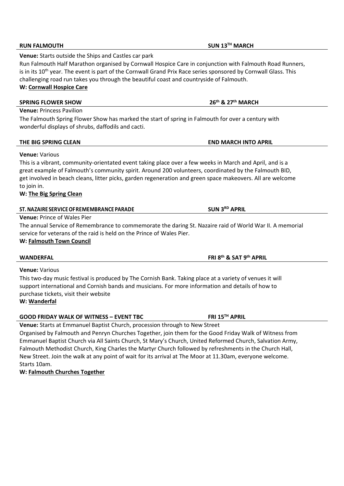Run Falmouth Half Marathon organised by Cornwall Hospice Care in conjunction with Falmouth Road Runners, is in its 10<sup>th</sup> year. The event is part of the Cornwall Grand Prix Race series sponsored by Cornwall Glass. This challenging road run takes you through the beautiful coast and countryside of Falmouth. **W: [Cornwall Hospice Care](https://www.cornwallhospicecare.co.uk/events/run-falmouth-2022/)**

# **SPRING FLOWER SHOW 26th & 27th MARCH**

**Venue:** Princess Pavilion

The Falmouth Spring Flower Show has marked the start of spring in Falmouth for over a century with wonderful displays of shrubs, daffodils and cacti.

# **THE BIG SPRING CLEAN END MARCH INTO APRIL**

# **Venue:** Various

This is a vibrant, community-orientated event taking place over a few weeks in March and April, and is a great example of Falmouth's community spirit. Around 200 volunteers, coordinated by the Falmouth BID, get involved in beach cleans, litter picks, garden regeneration and green space makeovers. All are welcome to join in.

# **W: [The Big Spring Clean](https://www.falmouth.co.uk/falmouth-events/falmouth-spring-clean-2022/)**

# **ST.NAZAIRE SERVICEOFREMEMBRANCE PARADE SUN 3RD APRIL**

**Venue:** Starts outside the Ships and Castles car park

**Venue:** Prince of Wales Pier

The annual Service of Remembrance to commemorate the daring St. Nazaire raid of World War II. A memorial service for veterans of the raid is held on the Prince of Wales Pier.

# **W: [Falmouth Town Council](http://www.falmouthtowncouncil.co.uk/)**

# **WANDERFAL**

**Venue:** Various This two-day music festival is produced by The Cornish Bank. Taking place at a variety of venues it will support international and Cornish bands and musicians. For more information and details of how to purchase tickets, visit their website

**W: [Wanderfal](https://thecornishbank.co.uk/get-in-contact/)**

# **GOOD FRIDAY WALK OF WITNESS – EVENT TBC FRI 15TH APRIL**

**Venue:** Starts at Emmanuel Baptist Church, procession through to New Street

Organised by Falmouth and Penryn Churches Together, join them for the Good Friday Walk of Witness from Emmanuel Baptist Church via All Saints Church, St Mary's Church, United Reformed Church, Salvation Army, Falmouth Methodist Church, King Charles the Martyr Church followed by refreshments in the Church Hall, New Street. Join the walk at any point of wait for its arrival at The Moor at 11.30am, everyone welcome. Starts 10am.

**W: [Falmouth Churches Together](http://www.falmouthchurchestogether.org.uk/)**

**RUN FALMOUTH SUN 13TH MARCH**

**th & SAT 9 th APRIL**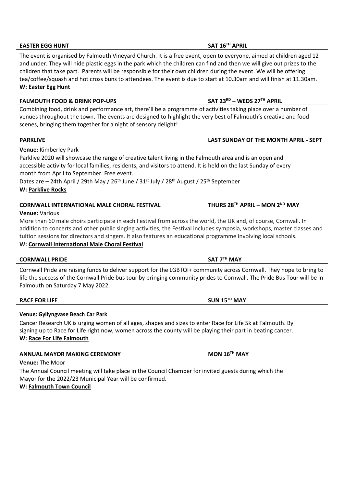# **EASTER EGG HUNT SAT 16TH APRIL**

The event is organised by Falmouth Vineyard Church. It is a free event, open to everyone, aimed at children aged 12 and under. They will hide plastic eggs in the park which the children can find and then we will give out prizes to the children that take part. Parents will be responsible for their own children during the event. We will be offering tea/coffee/squash and hot cross buns to attendees. The event is due to start at 10.30am and will finish at 11.30am. **W: [Easter Egg Hunt](https://www.falmouth.co.uk/falmouth-events/easter-egg-hunt/)**

### **FALMOUTH FOOD & DRINK POP-UPS SAT 23RD – WEDS 27TH APRIL**

Combining food, drink and performance art, there'll be a programme of activities taking place over a number of venues throughout the town. The events are designed to highlight the very best of Falmouth's creative and food scenes, bringing them together for a night of sensory delight!

**Venue:** Kimberley Park

Parklive 2020 will showcase the range of creative talent living in the Falmouth area and is an open and accessible activity for local families, residents, and visitors to attend. It is held on the last Sunday of every month from April to September. Free event.

Dates are – 24th April / 29th May / 26<sup>th</sup> June / 31<sup>st</sup> July / 28<sup>th</sup> August / 25<sup>th</sup> September **W: [Parklive Rocks](http://www.parklive.rocks/)**

### **CORNWALL INTERNATIONAL MALE CHORAL FESTIVAL THURS 28TH APRIL – MON 2ND MAY**

### **Venue:** Various

More than 60 male choirs participate in each Festival from across the world, the UK and, of course, Cornwall. In addition to concerts and other public singing activities, the Festival includes symposia, workshops, master classes and tuition sessions for directors and singers. It also features an educational programme involving local schools. **W: [Cornwall International Male Choral Festival](https://www.cimcf.uk/)**

### **CORNWALL PRIDE SAT 7TH MAY**

Cornwall Pride are raising funds to deliver support for the LGBTQI+ community across Cornwall. They hope to bring to life the success of the Cornwall Pride bus tour by bringing community prides to Cornwall. The Pride Bus Tour will be in Falmouth on Saturday 7 May 2022.

### **RACE FOR LIFE SUN 15TH MAY**

### **Venue: Gyllyngvase Beach Car Park**

Cancer Research UK is urging women of all ages, shapes and sizes to enter Race for Life 5k at Falmouth. By signing up to Race for Life right now, women across the county will be playing their part in beating cancer. **W: [Race For Life Falmouth](https://raceforlife.cancerresearchuk.org/find-an-event/gyllyngvase-beach-car-park-5k-2022-05-15-1100)**

**ANNUAL MAYOR MAKING CEREMONY MON 16TH MAY**

**Venue:** The Moor

The Annual Council meeting will take place in the Council Chamber for invited guests during which the Mayor for the 2022/23 Municipal Year will be confirmed.

### **W: [Falmouth Town Council](http://www.falmouthtowncouncil.co.uk/)**

# **PARKLIVE LAST SUNDAY OF THE MONTH APRIL - SEPT**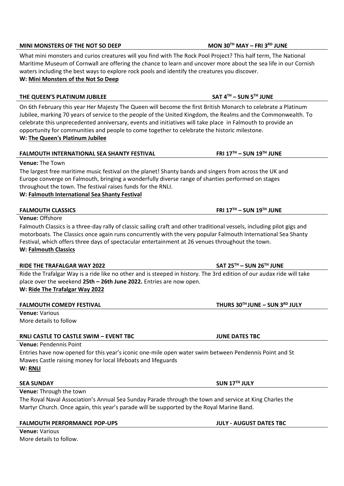### **MINI MONSTERS OF THE NOT SO DEEP MON 30TH MAY – FRI 3RD JUNE**

What mini monsters and curios creatures will you find with The Rock Pool Project? This half term, The National Maritime Museum of Cornwall are offering the chance to learn and uncover more about the sea life in our Cornish waters including the best ways to explore rock pools and identify the creatures you discover. **W: [Mini Monsters of the Not So Deep](https://www.falmouth.co.uk/falmouth-events/mini-monsters-of-the-not-so-deep/)**

# **THE QUEEN'S PLATINUM JUBILEE SAT 4TH – SUN 5TH JUNE**

On 6th February this year Her Majesty The Queen will become the first British Monarch to celebrate a Platinum Jubilee, marking 70 years of service to the people of the United Kingdom, the Realms and the Commonwealth. To celebrate this unprecedented anniversary, events and initiatives will take place in Falmouth to provide an opportunity for communities and people to come together to celebrate the historic milestone. **W: [The Queen's Platinum Jubilee](https://www.falmouth.co.uk/?post_type=falmouth-events&p=18355&preview=true)**

# **FALMOUTH INTERNATIONAL SEA SHANTY FESTIVAL FRI 17TH – SUN 19TH JUNE**

**Venue:** The Town

The largest free maritime music festival on the planet! Shanty bands and singers from across the UK and Europe converge on Falmouth, bringing a wonderfully diverse range of shanties performed on stages throughout the town. The festival raises funds for the RNLI.

**W: [Falmouth International Sea Shanty Festival](https://www.falmouthseashanty.co.uk/)**

# **FALMOUTH CLASSICS FRI 17TH – SUN 19TH JUNE**

**Venue:** Offshore

Falmouth Classics is a three-day rally of classic sailing craft and other traditional vessels, including pilot gigs and motorboats. The Classics once again runs concurrently with the very popular Falmouth International Sea Shanty Festival, which offers three days of spectacular entertainment at 26 venues throughout the town. **W: [Falmouth Classics](http://www.falmouthclassics.co.uk/)**

# **RIDE THE TRAFALGAR WAY 2022 SAT 25TH – SUN 26TH JUNE**

Ride the Trafalgar Way is a ride like no other and is steeped in history. The 3rd edition of our audax ride will take place over the weekend **25th – 26th June 2022.** Entries are now open. **W: [Ride The Trafalgar Way 2022](https://www.falmouth.co.uk/falmouth-events/ridethetrafalgarw)**

# **FALMOUTH COMEDY FESTIVAL THURS 30TH JUNE – SUN 3RD JULY**

**Venue:** Various More details to follow

# **RNLI CASTLE TO CASTLE SWIM – EVENT TBC JUNE DATES TBC**

**Venue:** Pendennis Point

Entries have now opened for this year's iconic one-mile open water swim between Pendennis Point and St Mawes Castle raising money for local lifeboats and lifeguards **W: [RNLI](https://rnli.org/)**

### **SEA SUNDAY SUN 17TH JULY**

**Venue:** Through the town

The Royal Naval Association's Annual Sea Sunday Parade through the town and service at King Charles the Martyr Church. Once again, this year's parade will be supported by the Royal Marine Band.

### **FALMOUTH PERFORMANCE POP-UPS JULY - AUGUST DATES TBC**

**Venue:** Various More details to follow.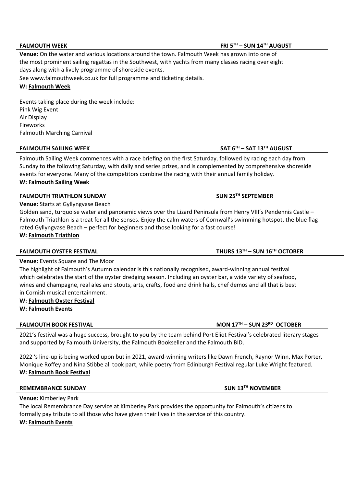### **FALMOUTH WEEK FRI 5TH – SUN 14TH AUGUST**

**Venue:** On the water and various locations around the town. Falmouth Week has grown into one of the most prominent sailing regattas in the Southwest, with yachts from many classes racing over eight days along with a lively programme of shoreside events.

See [www.falmouthweek.co.uk for](http://www.falmouthweek.co.uk/) full programme and ticketing details.

### **W: [Falmouth Week](http://www.falmouthweek.co.uk/)**

Events taking place during the week include: Pink Wig Event Air Display Fireworks Falmouth Marching Carnival

### **FALMOUTH SAILING WEEK SAT 6TH – SAT 13TH AUGUST**

Falmouth Sailing Week commences with a race briefing on the first Saturday, followed by racing each day from Sunday to the following Saturday, with daily and series prizes, and is complemented by comprehensive shoreside events for everyone. Many of the competitors combine the racing with their annual family holiday. **W: [Falmouth Sailing Week](https://www.falmouth.co.uk/falmouth-events/falmouth-sailing-week-2/)**

### **FALMOUTH TRIATHLON SUNDAY SUN 25TH SEPTEMBER**

**Venue:** Starts at Gyllyngvase Beach

Golden sand, turquoise water and panoramic views over the Lizard Peninsula from Henry VIII's Pendennis Castle – Falmouth Triathlon is a treat for all the senses. Enjoy the calm waters of Cornwall's swimming hotspot, the blue flag rated Gyllyngvase Beach – perfect for beginners and those looking for a fast course! **W: [Falmouth Triathlon](https://intotri.com/event/seal/)**

### **FALMOUTH OYSTER FESTIVAL THURS 13TH – SUN 16TH OCTOBER**

**Venue:** Events Square and The Moor

The highlight of Falmouth's Autumn calendar is this nationally recognised, award-winning annual festival which celebrates the start of the oyster dredging season. Including an oyster bar, a wide variety of seafood, wines and champagne, real ales and stouts, arts, crafts, food and drink halls, chef demos and all that is best in Cornish musical entertainment.

**W: [Falmouth Oyster Festival](https://falmouthoysterfestival.co.uk/)**

**W: [Falmouth Events](https://www.falmouth.co.uk/falmouth-events/falmouth-oyster-festival/)**

### **FALMOUTH BOOK FESTIVAL MON 17TH – SUN 23RD OCTOBER**

2021's festival was a huge success, brought to you by the team behind Port Eliot Festival's celebrated literary stages and supported by Falmouth University, the Falmouth Bookseller and the Falmouth BID.

2022 's line-up is being worked upon but in 2021, award-winning writers like Dawn French, Raynor Winn, Max Porter, Monique Roffey and Nina Stibbe all took part, while poetry from Edinburgh Festival regular Luke Wright featured. **W: [Falmouth Book Festival](https://www.falmouth.co.uk/falmouth-events/falmouth-book-festival/)**

### **REMEMBRANCE SUNDAY SUN 13TH NOVEMBER**

**Venue:** Kimberley Park The local Remembrance Day service at Kimberley Park provides the opportunity for Falmouth's citizens to formally pay tribute to all those who have given their lives in the service of this country. **W: [Falmouth Events](https://www.falmouth.co.uk/falmouth-events/remembrance-sunday/)**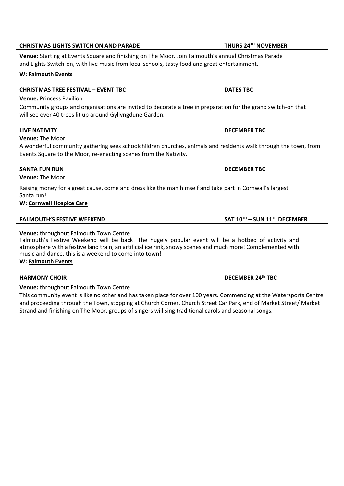# **CHRISTMAS LIGHTS SWITCH ON AND PARADE THURS 24TH NOVEMBER**

**Venue:** Starting at Events Square and finishing on The Moor. Join Falmouth's annual Christmas Parade and Lights Switch-on, with live music from local schools, tasty food and great entertainment.

# **W: [Falmouth Events](https://www.falmouth.co.uk/falmouth-events/christmas-lights-switch-on/)**

# **CHRISTMAS TREE FESTIVAL – EVENT TBC DATES TBC**

# **Venue:** Princess Pavilion

Community groups and organisations are invited to decorate a tree in preparation for the grand switch-on that will see over 40 trees lit up around Gyllyngdune Garden.

# **LIVE NATIVITY DECEMBER TBC**

**Venue:** The Moor

A wonderful community gathering sees schoolchildren churches, animals and residents walk through the town, from Events Square to the Moor, re-enacting scenes from the Nativity.

### **SANTA FUN RUN DECEMBER TBC**

**Venue:** The Moor

Raising money for a great cause, come and dress like the man himself and take part in Cornwall's largest Santa run!

### **W: [Cornwall Hospice Care](https://www.cornwallhospicecare.co.uk/)**

### **FALMOUTH'S FESTIVE WEEKEND SAT 10TH – SUN 11TH DECEMBER**

**Venue:** throughout Falmouth Town Centre

Falmouth's Festive Weekend will be back! The hugely popular event will be a hotbed of activity and atmosphere with a festive land train, an artificial ice rink, snowy scenes and much more! Complemented with music and dance, this is a weekend to come into town!

**W: [Falmouth Events](https://www.falmouth.co.uk/falmouth-events/falmouths-festive-weekend/)**

**Venue:** throughout Falmouth Town Centre

This community event is like no other and has taken place for over 100 years. Commencing at the Watersports Centre and proceeding through the Town, stopping at Church Corner, Church Street Car Park, end of Market Street/ Market Strand and finishing on The Moor, groups of singers will sing traditional carols and seasonal songs.

**HARMONY CHOIR DECEMBER 24th TBC**